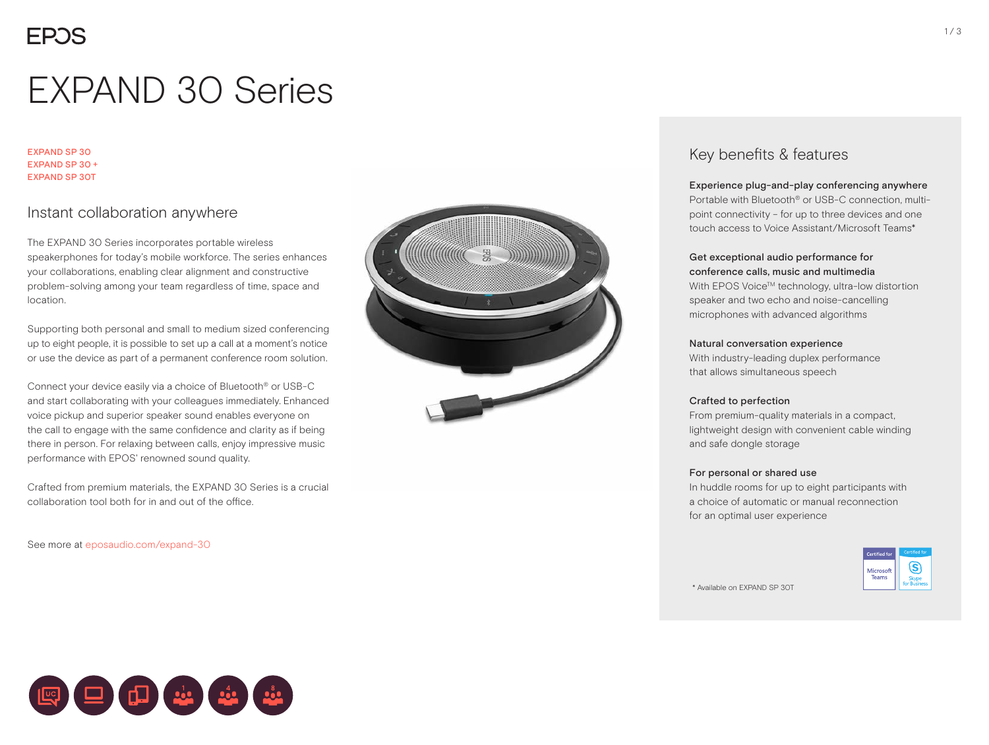# EXPAND 30 Series

EXPAND SP 30 EXPAND SP 30 + EXPAND SP 30T

### Instant collaboration anywhere

The EXPAND 30 Series incorporates portable wireless speakerphones for today's mobile workforce. The series enhances your collaborations, enabling clear alignment and constructive problem-solving among your team regardless of time, space and location.

Supporting both personal and small to medium sized conferencing up to eight people, it is possible to set up a call at a moment's notice or use the device as part of a permanent conference room solution.

Connect your device easily via a choice of Bluetooth® or USB-C and start collaborating with your colleagues immediately. Enhanced voice pickup and superior speaker sound enables everyone on the call to engage with the same confidence and clarity as if being there in person. For relaxing between calls, enjoy impressive music performance with EPOS' renowned sound quality.

Crafted from premium materials, the EXPAND 30 Series is a crucial collaboration tool both for in and out of the office.

See more at eposaudio.com/expand-30



### Key benefits & features

Experience plug-and-play conferencing anywhere

Portable with Bluetooth® or USB-C connection, multipoint connectivity – for up to three devices and one touch access to Voice Assistant/Microsoft Teams\*

#### Get exceptional audio performance for conference calls, music and multimedia

With EPOS Voice™ technology, ultra-low distortion speaker and two echo and noise-cancelling microphones with advanced algorithms

#### Natural conversation experience

With industry-leading duplex performance that allows simultaneous speech

#### Crafted to perfection

From premium-quality materials in a compact, lightweight design with convenient cable winding and safe dongle storage

#### For personal or shared use

In huddle rooms for up to eight participants with a choice of automatic or manual reconnection for an optimal user experience



\* Available on EXPAND SP 30T

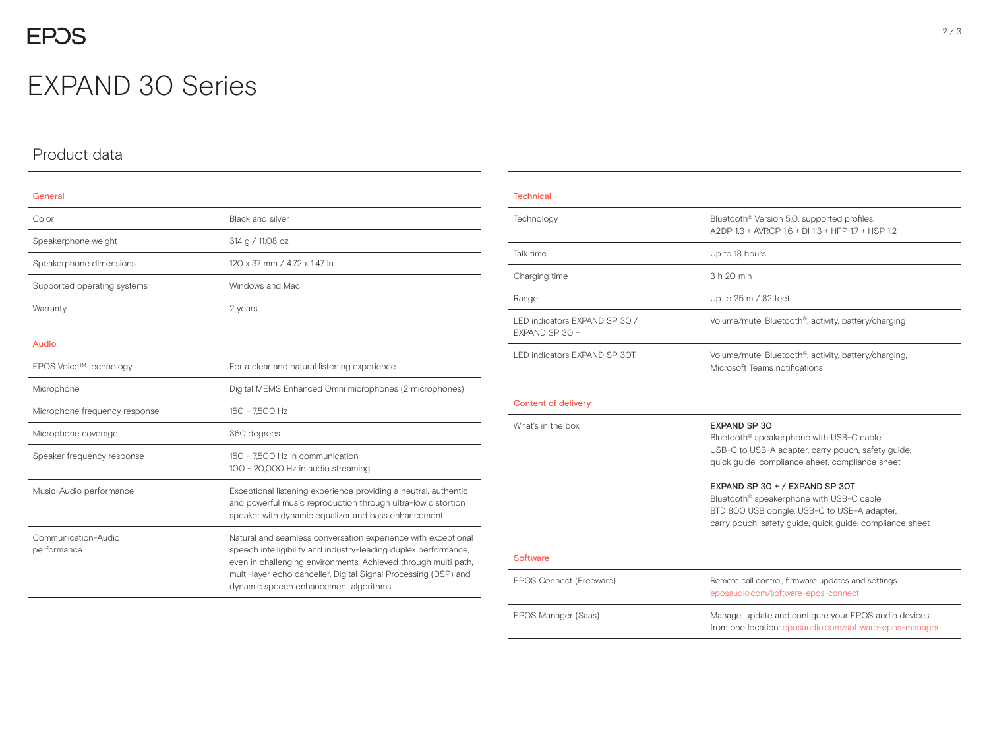## **EPOS**

## EXPAND 30 Series

## Product data

| General                            |                                                                                                                                                                                                                                                                                                                 |  |  |
|------------------------------------|-----------------------------------------------------------------------------------------------------------------------------------------------------------------------------------------------------------------------------------------------------------------------------------------------------------------|--|--|
| Color                              | <b>Black and silver</b>                                                                                                                                                                                                                                                                                         |  |  |
| Speakerphone weight                | 314 g / 11.08 oz                                                                                                                                                                                                                                                                                                |  |  |
| Speakerphone dimensions            | 120 x 37 mm / 4.72 x 1.47 in                                                                                                                                                                                                                                                                                    |  |  |
| Supported operating systems        | Windows and Mac                                                                                                                                                                                                                                                                                                 |  |  |
| Warranty                           | 2 years                                                                                                                                                                                                                                                                                                         |  |  |
| Audio                              |                                                                                                                                                                                                                                                                                                                 |  |  |
| EPOS Voice™ technology             | For a clear and natural listening experience                                                                                                                                                                                                                                                                    |  |  |
| Microphone                         | Digital MEMS Enhanced Omni microphones (2 microphones)                                                                                                                                                                                                                                                          |  |  |
| Microphone frequency response      | 150 - 7.500 Hz                                                                                                                                                                                                                                                                                                  |  |  |
| Microphone coverage                | 360 degrees                                                                                                                                                                                                                                                                                                     |  |  |
| Speaker frequency response         | 150 - 7.500 Hz in communication<br>100 - 20,000 Hz in audio streaming                                                                                                                                                                                                                                           |  |  |
| Music-Audio performance            | Exceptional listening experience providing a neutral, authentic<br>and powerful music reproduction through ultra-low distortion<br>speaker with dynamic equalizer and bass enhancement.                                                                                                                         |  |  |
| Communication-Audio<br>performance | Natural and seamless conversation experience with exceptional<br>speech intelligibility and industry-leading duplex performance,<br>even in challenging environments. Achieved through multi path,<br>multi-layer echo canceller, Digital Signal Processing (DSP) and<br>dynamic speech enhancement algorithms. |  |  |

| <b>Technical</b>                                |                                                                                                                                                                                                                                                                                                                                                                                             |  |  |
|-------------------------------------------------|---------------------------------------------------------------------------------------------------------------------------------------------------------------------------------------------------------------------------------------------------------------------------------------------------------------------------------------------------------------------------------------------|--|--|
| Technology                                      | Bluetooth <sup>®</sup> Version 5.0, supported profiles:<br>A2DP 1.3 + AVRCP 1.6 + DJ 1.3 + HFP 1.7 + HSP 1.2                                                                                                                                                                                                                                                                                |  |  |
| Talk time                                       | Up to 18 hours                                                                                                                                                                                                                                                                                                                                                                              |  |  |
| Charging time                                   | 3 h 20 min                                                                                                                                                                                                                                                                                                                                                                                  |  |  |
| Range                                           | Up to 25 m / 82 feet                                                                                                                                                                                                                                                                                                                                                                        |  |  |
| LED indicators EXPAND SP 30 /<br>EXPAND SP 30 + | Volume/mute, Bluetooth <sup>®</sup> , activity, battery/charging                                                                                                                                                                                                                                                                                                                            |  |  |
| LED indicators EXPAND SP 30T                    | Volume/mute, Bluetooth <sup>®</sup> , activity, battery/charging,<br>Microsoft Teams notifications                                                                                                                                                                                                                                                                                          |  |  |
| <b>Content of delivery</b>                      |                                                                                                                                                                                                                                                                                                                                                                                             |  |  |
| What's in the box                               | <b>EXPAND SP 30</b><br>Bluetooth <sup>®</sup> speakerphone with USB-C cable,<br>USB-C to USB-A adapter, carry pouch, safety guide,<br>quick guide, compliance sheet, compliance sheet<br>EXPAND SP 30 + / EXPAND SP 30T<br>Bluetooth <sup>®</sup> speakerphone with USB-C cable,<br>BTD 800 USB dongle, USB-C to USB-A adapter,<br>carry pouch, safety guide, quick guide, compliance sheet |  |  |
| <b>Software</b>                                 |                                                                                                                                                                                                                                                                                                                                                                                             |  |  |
| EPOS Connect (Freeware)                         | Remote call control, firmware updates and settings:<br>eposaudio.com/software-epos-connect                                                                                                                                                                                                                                                                                                  |  |  |
| EPOS Manager (Saas)                             | Manage, update and configure your EPOS audio devices<br>from one location: eposaudio.com/software-epos-manager                                                                                                                                                                                                                                                                              |  |  |